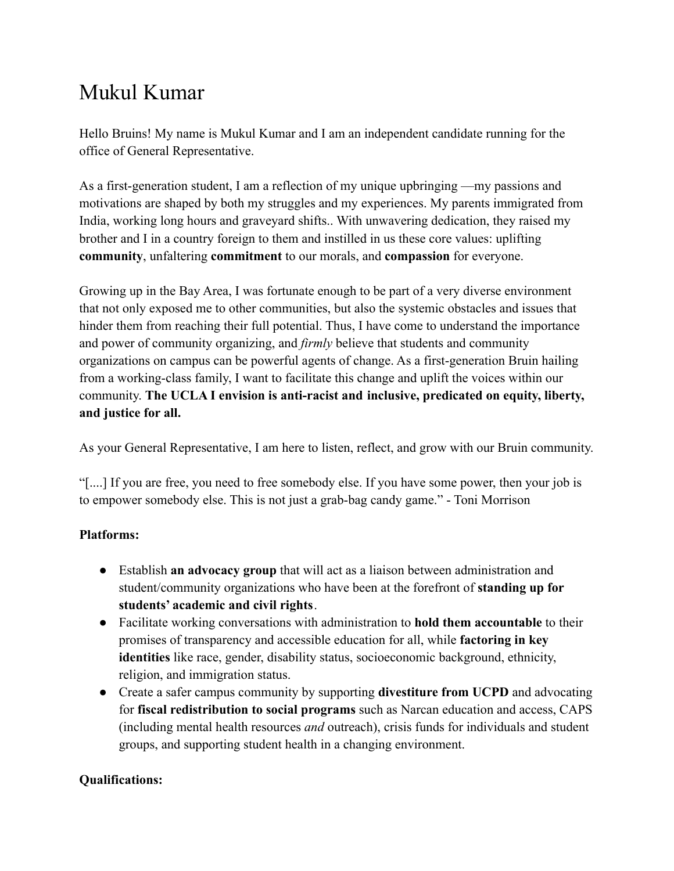## Mukul Kumar

Hello Bruins! My name is Mukul Kumar and I am an independent candidate running for the office of General Representative.

As a first-generation student, I am a reflection of my unique upbringing —my passions and motivations are shaped by both my struggles and my experiences. My parents immigrated from India, working long hours and graveyard shifts.. With unwavering dedication, they raised my brother and I in a country foreign to them and instilled in us these core values: uplifting **community**, unfaltering **commitment** to our morals, and **compassion** for everyone.

Growing up in the Bay Area, I was fortunate enough to be part of a very diverse environment that not only exposed me to other communities, but also the systemic obstacles and issues that hinder them from reaching their full potential. Thus, I have come to understand the importance and power of community organizing, and *firmly* believe that students and community organizations on campus can be powerful agents of change. As a first-generation Bruin hailing from a working-class family, I want to facilitate this change and uplift the voices within our community. **The UCLA I envision is anti-racist and inclusive, predicated on equity, liberty, and justice for all.**

As your General Representative, I am here to listen, reflect, and grow with our Bruin community.

"[....] If you are free, you need to free somebody else. If you have some power, then your job is to empower somebody else. This is not just a grab-bag candy game." - Toni Morrison

## **Platforms:**

- Establish **an advocacy group** that will act as a liaison between administration and student/community organizations who have been at the forefront of **standing up for students' academic and civil rights**.
- Facilitate working conversations with administration to **hold them accountable** to their promises of transparency and accessible education for all, while **factoring in key identities** like race, gender, disability status, socioeconomic background, ethnicity, religion, and immigration status.
- Create a safer campus community by supporting **divestiture from UCPD** and advocating for **fiscal redistribution to social programs** such as Narcan education and access, CAPS (including mental health resources *and* outreach), crisis funds for individuals and student groups, and supporting student health in a changing environment.

## **Qualifications:**